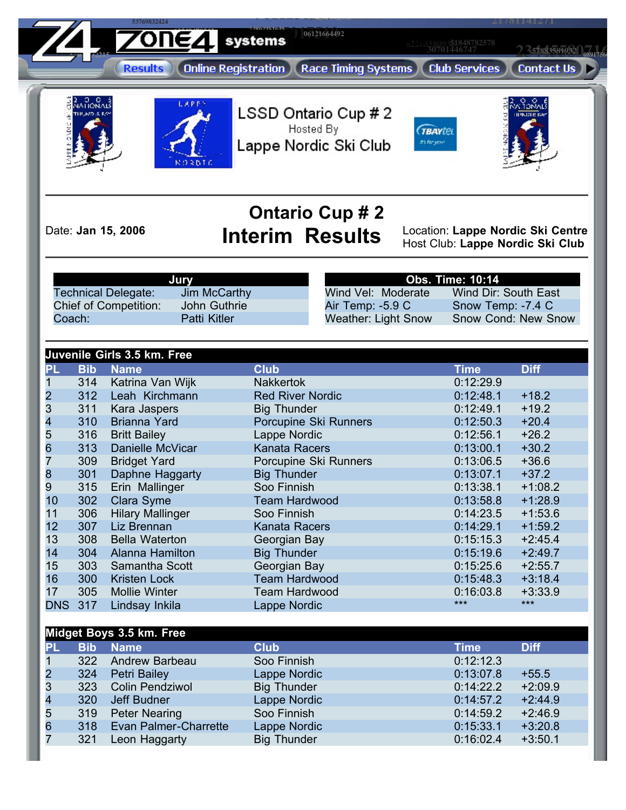**28495017510 87274321684 63349619093 36781026461 51848782578 72802451645 06121664492 63549478543 <sup>62268580938</sup> <sup>30701446747</sup>** <u>408118</u> **2.357883581932 0891756 4740** 52215 **Results Online Registration Race Timing Systems Club Services Contact Us** LSSD Ontario Cup # 2 Hosted By **TBAYtel** Lappe Nordic Ski Club its for you  $0.8N$ T

**<sup>42569702733</sup> <sup>53769832424</sup>**

## **Ontario Cup # 2**

Date: **Jan 15, 2006 Interim Results** Location: **Lappe Nordic Ski Centre** Host Club: **Lappe Nordic Ski Club**

**81336663917**

**0891756** 

|                       | <b>Jury</b>         |
|-----------------------|---------------------|
| Technical Delegate:   | Jim McCarthy        |
| Chief of Competition: | John Guthrie        |
| Coach:                | <b>Patti Kitler</b> |

**Obs. Time: 10:14** Wind Vel: Moderate Wind Dir: South East Air Temp: -5.9 C Snow Temp: -7.4 C<br>Weather: Light Snow Snow Cond: New S Snow Cond: New Snow

**98112305837 03544145699 <sup>21781141271</sup>**

|                       |               | Juvenile Girls 3.5 km. Free |                         |             |             |
|-----------------------|---------------|-----------------------------|-------------------------|-------------|-------------|
| PL                    | <b>Bib</b>    | <b>Name</b>                 | <b>Club</b>             | <b>Time</b> | <b>Diff</b> |
|                       | 314           | Katrina Van Wijk            | <b>Nakkertok</b>        | 0:12:29.9   |             |
|                       | 312           | Leah Kirchmann              | <b>Red River Nordic</b> | 0:12:48.1   | $+18.2$     |
| 2<br>3<br>4<br>5<br>6 | 311           | Kara Jaspers                | <b>Big Thunder</b>      | 0:12:49.1   | $+19.2$     |
|                       | 310           | <b>Brianna Yard</b>         | Porcupine Ski Runners   | 0:12:50.3   | $+20.4$     |
|                       | 316           | <b>Britt Bailey</b>         | Lappe Nordic            | 0:12:56.1   | $+26.2$     |
|                       | 313           | Danielle McVicar            | <b>Kanata Racers</b>    | 0:13:00.1   | $+30.2$     |
| $\overline{7}$        | 309           | <b>Bridget Yard</b>         | Porcupine Ski Runners   | 0:13:06.5   | $+36.6$     |
| $\frac{8}{9}$         | 301           | Daphne Haggarty             | <b>Big Thunder</b>      | 0:13:07.1   | $+37.2$     |
|                       | 315           | Erin Mallinger              | Soo Finnish             | 0:13:38.1   | $+1:08.2$   |
| 10                    | 302           | Clara Syme                  | <b>Team Hardwood</b>    | 0:13:58.8   | $+1:28.9$   |
| 11                    | 306           | <b>Hilary Mallinger</b>     | Soo Finnish             | 0:14:23.5   | $+1:53.6$   |
| 12                    | 307           | Liz Brennan                 | <b>Kanata Racers</b>    | 0:14:29.1   | $+1:59.2$   |
| 13                    | 308           | <b>Bella Waterton</b>       | Georgian Bay            | 0:15:15.3   | $+2:45.4$   |
| 14                    | 304           | Alanna Hamilton             | <b>Big Thunder</b>      | 0:15:19.6   | $+2:49.7$   |
| 15                    | 303           | Samantha Scott              | Georgian Bay            | 0:15:25.6   | $+2:55.7$   |
| 16                    | 300           | <b>Kristen Lock</b>         | <b>Team Hardwood</b>    | 0:15:48.3   | $+3:18.4$   |
| 17                    | 305           | <b>Mollie Winter</b>        | <b>Team Hardwood</b>    | 0:16:03.8   | $+3:33.9$   |
| <b>DNS</b>            | 317           | Lindsay Inkila              | Lappe Nordic            | $***$       | $***$       |
|                       |               |                             |                         |             |             |
|                       |               | Midget Boys 3.5 km. Free    |                         |             |             |
| PL                    | <b>Bib</b>    | <b>Name</b>                 | <b>Club</b>             | <b>Time</b> | <b>Diff</b> |
|                       | $\sim$ $\sim$ | $\sim$ $\sim$               |                         |             |             |

|                |            | 1.11                   |                    |           |             |
|----------------|------------|------------------------|--------------------|-----------|-------------|
| PL             | <b>Bib</b> | <b>Name</b>            | <b>Club</b>        | Time      | <b>Diff</b> |
|                | 322        | Andrew Barbeau         | Soo Finnish        | 0:12:12.3 |             |
| $\overline{2}$ | 324        | Petri Bailey           | Lappe Nordic       | 0:13:07.8 | $+55.5$     |
| 3              | 323        | <b>Colin Pendziwol</b> | <b>Big Thunder</b> | 0:14:22.2 | $+2:09.9$   |
| $\overline{4}$ | 320        | Jeff Budner            | Lappe Nordic       | 0:14:57.2 | $+2:44.9$   |
| 5              | 319        | <b>Peter Nearing</b>   | Soo Finnish        | 0:14:59.2 | $+2:46.9$   |
| 6              | 318        | Evan Palmer-Charrette  | Lappe Nordic       | 0:15:33.1 | $+3:20.8$   |
|                | 321        | Leon Haggarty          | <b>Big Thunder</b> | 0:16:02.4 | $+3:50.1$   |
|                |            |                        |                    |           |             |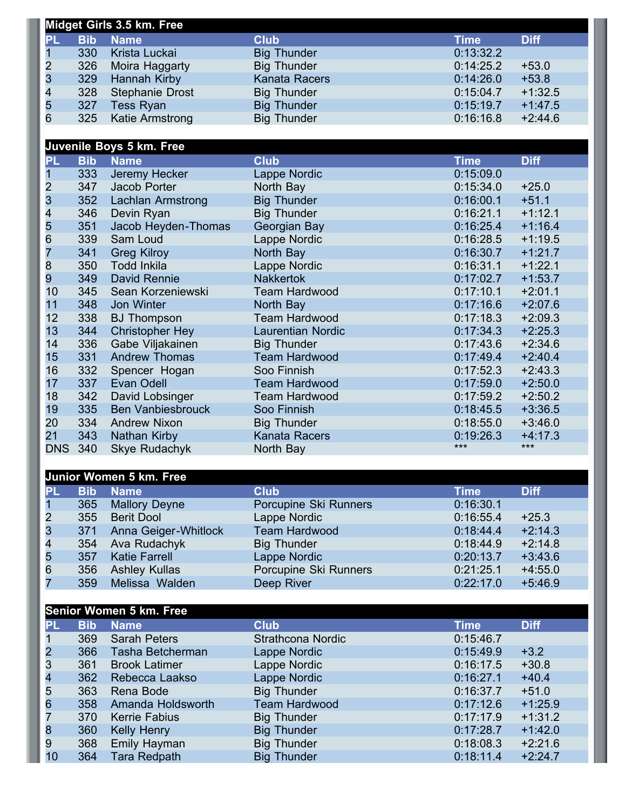|                |            | Midget Girls 3.5 km. Free |                      |             |             |
|----------------|------------|---------------------------|----------------------|-------------|-------------|
| <b>PL</b>      | <b>Bib</b> | <b>Name</b>               | <b>Club</b>          | <b>Time</b> | <b>Diff</b> |
| $\overline{1}$ | 330        | Krista Luckai             | <b>Big Thunder</b>   | 0:13:32.2   |             |
| $\overline{2}$ | 326        | Moira Haggarty            | <b>Big Thunder</b>   | 0:14:25.2   | $+53.0$     |
| $\overline{3}$ | 329        | <b>Hannah Kirby</b>       | <b>Kanata Racers</b> | 0:14:26.0   | $+53.8$     |
| $\overline{4}$ | 328        | Stephanie Drost           | <b>Big Thunder</b>   | 0:15:04.7   | $+1:32.5$   |
| 5              | 327        | Tess Ryan                 | <b>Big Thunder</b>   | 0:15:19.7   | $+1:47.5$   |
| 6              | 325        | Katie Armstrong           | <b>Big Thunder</b>   | 0:16:16.8   | $+2:44.6$   |
|                |            |                           |                      |             |             |

## **Juvenile Boys 5 km. Free**

| PL.             | <b>Bib</b> | <b>Name</b>              | <b>Club</b>              | <b>Time</b> | <b>Diff</b> |
|-----------------|------------|--------------------------|--------------------------|-------------|-------------|
|                 | 333        | Jeremy Hecker            | Lappe Nordic             | 0:15:09.0   |             |
| $\overline{2}$  | 347        | Jacob Porter             | North Bay                | 0:15:34.0   | $+25.0$     |
| 3               | 352        | Lachlan Armstrong        | <b>Big Thunder</b>       | 0:16:00.1   | $+51.1$     |
| 4               | 346        | Devin Ryan               | <b>Big Thunder</b>       | 0:16:21.1   | $+1:12.1$   |
| 5               | 351        | Jacob Heyden-Thomas      | Georgian Bay             | 0:16:25.4   | $+1:16.4$   |
| $6\overline{6}$ | 339        | Sam Loud                 | Lappe Nordic             | 0:16:28.5   | $+1:19.5$   |
| 7               | 341        | <b>Greg Kilroy</b>       | North Bay                | 0:16:30.7   | $+1:21.7$   |
| 8               | 350        | Todd Inkila              | Lappe Nordic             | 0:16:31.1   | $+1:22.1$   |
| 9               | 349        | David Rennie             | <b>Nakkertok</b>         | 0:17:02.7   | $+1:53.7$   |
| 10              | 345        | Sean Korzeniewski        | <b>Team Hardwood</b>     | 0:17:10.1   | $+2:01.1$   |
| 11              | 348        | Jon Winter               | North Bay                | 0:17:16.6   | $+2:07.6$   |
| 12              | 338        | <b>BJ</b> Thompson       | <b>Team Hardwood</b>     | 0:17:18.3   | $+2:09.3$   |
| 13              | 344        | <b>Christopher Hey</b>   | <b>Laurentian Nordic</b> | 0:17:34.3   | $+2:25.3$   |
| 14              | 336        | Gabe Viljakainen         | <b>Big Thunder</b>       | 0:17:43.6   | $+2:34.6$   |
| 15              | 331        | <b>Andrew Thomas</b>     | <b>Team Hardwood</b>     | 0:17:49.4   | $+2:40.4$   |
| 16              | 332        | Spencer Hogan            | Soo Finnish              | 0:17:52.3   | $+2:43.3$   |
| 17              | 337        | Evan Odell               | <b>Team Hardwood</b>     | 0:17:59.0   | $+2:50.0$   |
| 18              | 342        | David Lobsinger          | <b>Team Hardwood</b>     | 0:17:59.2   | $+2:50.2$   |
| 19              | 335        | <b>Ben Vanbiesbrouck</b> | Soo Finnish              | 0:18:45.5   | $+3:36.5$   |
| 20              | 334        | <b>Andrew Nixon</b>      | <b>Big Thunder</b>       | 0:18:55.0   | $+3:46.0$   |
| 21              | 343        | Nathan Kirby             | <b>Kanata Racers</b>     | 0:19:26.3   | $+4:17.3$   |
| <b>DNS</b>      | 340        | Skye Rudachyk            | North Bay                | $***$       | $***$       |

## **Junior Women 5 km. Free**

| PL             | <b>Bib</b> | <b>Name</b>          | <b>Club</b>           | Time      | <b>Diff</b> |
|----------------|------------|----------------------|-----------------------|-----------|-------------|
|                | 365        | <b>Mallory Deyne</b> | Porcupine Ski Runners | 0:16:30.1 |             |
| $\overline{2}$ | 355        | <b>Berit Dool</b>    | Lappe Nordic          | 0:16:55.4 | $+25.3$     |
| 3              | 371        | Anna Geiger-Whitlock | <b>Team Hardwood</b>  | 0:18:44.4 | $+2:14.3$   |
| 4              | 354        | Ava Rudachyk         | <b>Big Thunder</b>    | 0:18:44.9 | $+2:14.8$   |
| 5              | 357        | <b>Katie Farrell</b> | Lappe Nordic          | 0:20:13.7 | $+3:43.6$   |
| 6              | 356        | <b>Ashley Kullas</b> | Porcupine Ski Runners | 0:21:25.1 | $+4:55.0$   |
|                | 359        | Melissa Walden       | Deep River            | 0:22:17.0 | $+5:46.9$   |

|                |            | <b>Senior Women 5 km. Free</b> |                          |             |             |
|----------------|------------|--------------------------------|--------------------------|-------------|-------------|
| PL.            | <b>Bib</b> | <b>Name</b>                    | <b>Club</b>              | <b>Time</b> | <b>Diff</b> |
|                | 369        | <b>Sarah Peters</b>            | <b>Strathcona Nordic</b> | 0:15:46.7   |             |
| $\overline{2}$ | 366        | Tasha Betcherman               | Lappe Nordic             | 0:15:49.9   | $+3.2$      |
| 3              | 361        | <b>Brook Latimer</b>           | Lappe Nordic             | 0:16:17.5   | $+30.8$     |
| 4              | 362        | Rebecca Laakso                 | Lappe Nordic             | 0:16:27.1   | $+40.4$     |
| 5              | 363        | Rena Bode                      | <b>Big Thunder</b>       | 0:16:37.7   | $+51.0$     |
| 6              | 358        | Amanda Holdsworth              | <b>Team Hardwood</b>     | 0:17:12.6   | $+1:25.9$   |
|                | 370        | <b>Kerrie Fabius</b>           | <b>Big Thunder</b>       | 0:17:17.9   | $+1:31.2$   |
| 8              | 360        | <b>Kelly Henry</b>             | <b>Big Thunder</b>       | 0:17:28.7   | $+1:42.0$   |
| 9              | 368        | Emily Hayman                   | <b>Big Thunder</b>       | 0:18:08.3   | $+2:21.6$   |
| 10             | 364        | <b>Tara Redpath</b>            | <b>Big Thunder</b>       | 0:18:11.4   | $+2:24.7$   |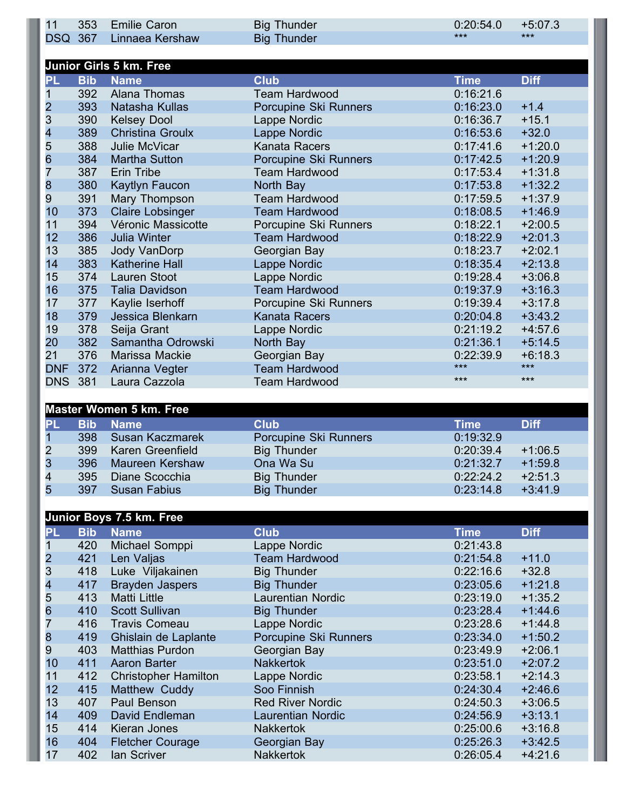| 11             | 353        | <b>Emilie Caron</b>            | <b>Big Thunder</b>    | 0:20:54.0<br>$***$ | $+5:07.3$<br>$***$ |
|----------------|------------|--------------------------------|-----------------------|--------------------|--------------------|
| <b>DSQ</b>     | 367        | Linnaea Kershaw                | <b>Big Thunder</b>    |                    |                    |
|                |            | <b>Junior Girls 5 km. Free</b> |                       |                    |                    |
| PL             | <b>Bib</b> | <b>Name</b>                    | <b>Club</b>           | <b>Time</b>        | <b>Diff</b>        |
|                | 392        | Alana Thomas                   | <b>Team Hardwood</b>  | 0:16:21.6          |                    |
|                | 393        | Natasha Kullas                 | Porcupine Ski Runners | 0:16:23.0          | $+1.4$             |
| 2<br>3         | 390        | <b>Kelsey Dool</b>             | Lappe Nordic          | 0:16:36.7          | $+15.1$            |
| 4              | 389        | <b>Christina Groulx</b>        | Lappe Nordic          | 0:16:53.6          | $+32.0$            |
|                | 388        | Julie McVicar                  | Kanata Racers         | 0:17:41.6          | $+1:20.0$          |
| 5<br>6         | 384        | <b>Martha Sutton</b>           | Porcupine Ski Runners | 0:17:42.5          | $+1:20.9$          |
| 7              | 387        | <b>Erin Tribe</b>              | <b>Team Hardwood</b>  | 0:17:53.4          | $+1:31.8$          |
| 8              | 380        | Kaytlyn Faucon                 | North Bay             | 0:17:53.8          | $+1:32.2$          |
| $\overline{9}$ | 391        | Mary Thompson                  | <b>Team Hardwood</b>  | 0:17:59.5          | $+1:37.9$          |
| 10             | 373        | <b>Claire Lobsinger</b>        | <b>Team Hardwood</b>  | 0:18:08.5          | $+1:46.9$          |
| 11             | 394        | Véronic Massicotte             | Porcupine Ski Runners | 0:18:22.1          | $+2:00.5$          |
| 12             | 386        | <b>Julia Winter</b>            | <b>Team Hardwood</b>  | 0:18:22.9          | $+2:01.3$          |
| 13             | 385        | Jody VanDorp                   | Georgian Bay          | 0:18:23.7          | $+2:02.1$          |
| 14             | 383        | <b>Katherine Hall</b>          | Lappe Nordic          | 0:18:35.4          | $+2:13.8$          |
| 15             | 374        | <b>Lauren Stoot</b>            | Lappe Nordic          | 0:19:28.4          | $+3:06.8$          |
| 16             | 375        | <b>Talia Davidson</b>          | <b>Team Hardwood</b>  | 0:19:37.9          | $+3:16.3$          |
| 17             | 377        | Kaylie Iserhoff                | Porcupine Ski Runners | 0:19:39.4          | $+3:17.8$          |
| 18             | 379        | Jessica Blenkarn               | <b>Kanata Racers</b>  | 0:20:04.8          | $+3:43.2$          |
| 19             | 378        | Seija Grant                    | Lappe Nordic          | 0:21:19.2          | $+4:57.6$          |
| 20             | 382        | Samantha Odrowski              | North Bay             | 0:21:36.1          | $+5:14.5$          |
| 21             | 376        | Marissa Mackie                 | Georgian Bay          | 0:22:39.9          | $+6:18.3$          |
| <b>DNF</b>     | 372        | Arianna Vegter                 | <b>Team Hardwood</b>  | $***$              | $***$              |
| <b>DNS</b>     | 381        | Laura Cazzola                  | <b>Team Hardwood</b>  | $***$              | $***$              |

|                |            | <b>Master Women 5 km. Free</b> |                       |           |             |
|----------------|------------|--------------------------------|-----------------------|-----------|-------------|
| PL             | <b>Bib</b> | <b>Name</b>                    | <b>Club</b>           | Time      | <b>Diff</b> |
| $\mathbf 1$    | 398        | Susan Kaczmarek                | Porcupine Ski Runners | 0:19:32.9 |             |
| 2              | 399        | Karen Greenfield               | <b>Big Thunder</b>    | 0:20:39.4 | $+1:06.5$   |
| 3              | 396        | Maureen Kershaw                | Ona Wa Su             | 0:21:32.7 | $+1:59.8$   |
| $\overline{4}$ | 395        | Diane Scocchia                 | <b>Big Thunder</b>    | 0:22:24.2 | $+2:51.3$   |
| 5              | 397        | <b>Susan Fabius</b>            | <b>Big Thunder</b>    | 0:23:14.8 | $+3:41.9$   |

|                 |            | Junior Boys 7.5 km. Free    |                          |             |             |
|-----------------|------------|-----------------------------|--------------------------|-------------|-------------|
| <b>PL</b>       | <b>Bib</b> | <b>Name</b>                 | <b>Club</b>              | <b>Time</b> | <b>Diff</b> |
|                 | 420        | Michael Somppi              | Lappe Nordic             | 0:21:43.8   |             |
| $\frac{2}{3}$   | 421        | Len Valjas                  | <b>Team Hardwood</b>     | 0:21:54.8   | $+11.0$     |
|                 | 418        | Luke Viljakainen            | <b>Big Thunder</b>       | 0:22:16.6   | $+32.8$     |
| 4               | 417        | <b>Brayden Jaspers</b>      | <b>Big Thunder</b>       | 0:23:05.6   | $+1:21.8$   |
| 5               | 413        | <b>Matti Little</b>         | <b>Laurentian Nordic</b> | 0:23:19.0   | $+1:35.2$   |
| $6\phantom{.}6$ | 410        | <b>Scott Sullivan</b>       | <b>Big Thunder</b>       | 0:23:28.4   | $+1:44.6$   |
|                 | 416        | <b>Travis Comeau</b>        | Lappe Nordic             | 0:23:28.6   | $+1:44.8$   |
| 8               | 419        | Ghislain de Laplante        | Porcupine Ski Runners    | 0:23:34.0   | $+1:50.2$   |
| 9               | 403        | <b>Matthias Purdon</b>      | Georgian Bay             | 0:23:49.9   | $+2:06.1$   |
| 10              | 411        | Aaron Barter                | <b>Nakkertok</b>         | 0:23:51.0   | $+2:07.2$   |
| 11              | 412        | <b>Christopher Hamilton</b> | Lappe Nordic             | 0:23:58.1   | $+2:14.3$   |
| 12              | 415        | Matthew Cuddy               | Soo Finnish              | 0:24:30.4   | $+2:46.6$   |
| 13              | 407        | Paul Benson                 | <b>Red River Nordic</b>  | 0:24:50.3   | $+3:06.5$   |
| 14              | 409        | David Endleman              | <b>Laurentian Nordic</b> | 0:24:56.9   | $+3:13.1$   |
| 15              | 414        | Kieran Jones                | <b>Nakkertok</b>         | 0:25:00.6   | $+3:16.8$   |
| 16              | 404        | <b>Fletcher Courage</b>     | Georgian Bay             | 0:25:26.3   | $+3:42.5$   |
| 17              | 402        | lan Scriver                 | <b>Nakkertok</b>         | 0:26:05.4   | $+4:21.6$   |